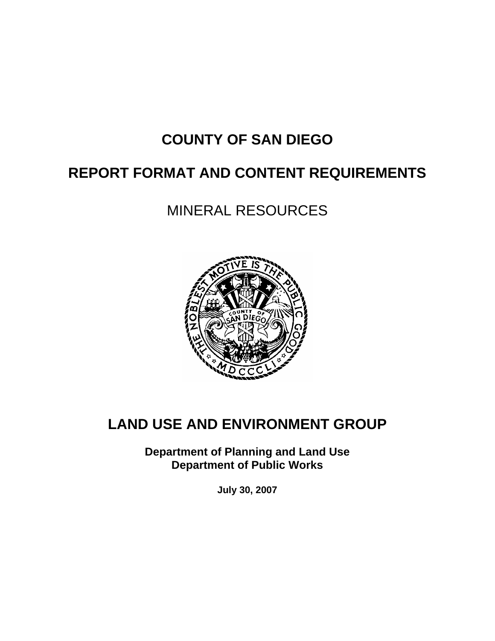# **COUNTY OF SAN DIEGO**

## **REPORT FORMAT AND CONTENT REQUIREMENTS**

# MINERAL RESOURCES



# **LAND USE AND ENVIRONMENT GROUP**

**Department of Planning and Land Use Department of Public Works** 

**July 30, 2007**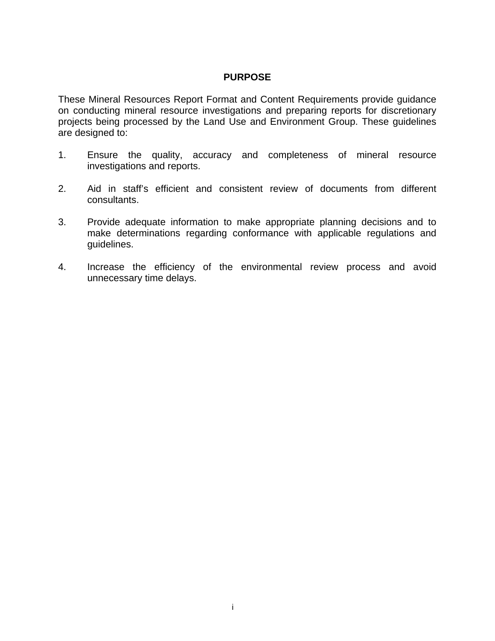#### **PURPOSE**

These Mineral Resources Report Format and Content Requirements provide guidance on conducting mineral resource investigations and preparing reports for discretionary projects being processed by the Land Use and Environment Group. These guidelines are designed to:

- 1. Ensure the quality, accuracy and completeness of mineral resource investigations and reports.
- 2. Aid in staff's efficient and consistent review of documents from different consultants.
- 3. Provide adequate information to make appropriate planning decisions and to make determinations regarding conformance with applicable regulations and guidelines.
- 4. Increase the efficiency of the environmental review process and avoid unnecessary time delays.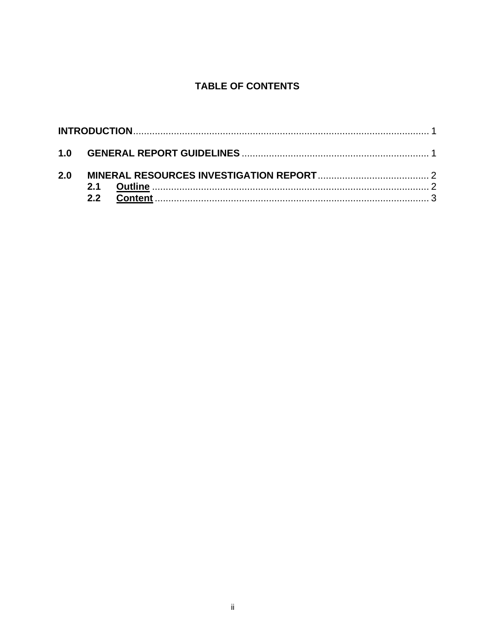#### **TABLE OF CONTENTS**

| 1.0 |  |
|-----|--|
| 2.0 |  |
|     |  |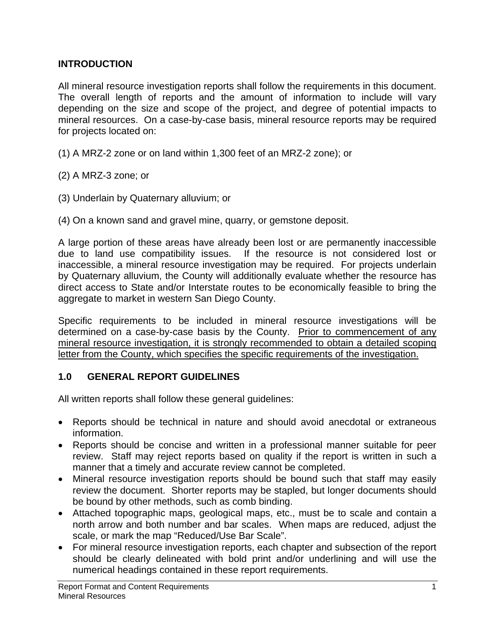#### **INTRODUCTION**

All mineral resource investigation reports shall follow the requirements in this document. The overall length of reports and the amount of information to include will vary depending on the size and scope of the project, and degree of potential impacts to mineral resources. On a case-by-case basis, mineral resource reports may be required for projects located on:

- (1) A MRZ-2 zone or on land within 1,300 feet of an MRZ-2 zone); or
- (2) A MRZ-3 zone; or
- (3) Underlain by Quaternary alluvium; or
- (4) On a known sand and gravel mine, quarry, or gemstone deposit.

A large portion of these areas have already been lost or are permanently inaccessible due to land use compatibility issues. If the resource is not considered lost or inaccessible, a mineral resource investigation may be required. For projects underlain by Quaternary alluvium, the County will additionally evaluate whether the resource has direct access to State and/or Interstate routes to be economically feasible to bring the aggregate to market in western San Diego County.

Specific requirements to be included in mineral resource investigations will be determined on a case-by-case basis by the County. Prior to commencement of any mineral resource investigation, it is strongly recommended to obtain a detailed scoping letter from the County, which specifies the specific requirements of the investigation.

#### **1.0 GENERAL REPORT GUIDELINES**

All written reports shall follow these general guidelines:

- Reports should be technical in nature and should avoid anecdotal or extraneous information.
- Reports should be concise and written in a professional manner suitable for peer review. Staff may reject reports based on quality if the report is written in such a manner that a timely and accurate review cannot be completed.
- Mineral resource investigation reports should be bound such that staff may easily review the document. Shorter reports may be stapled, but longer documents should be bound by other methods, such as comb binding.
- Attached topographic maps, geological maps, etc., must be to scale and contain a north arrow and both number and bar scales. When maps are reduced, adjust the scale, or mark the map "Reduced/Use Bar Scale".
- For mineral resource investigation reports, each chapter and subsection of the report should be clearly delineated with bold print and/or underlining and will use the numerical headings contained in these report requirements.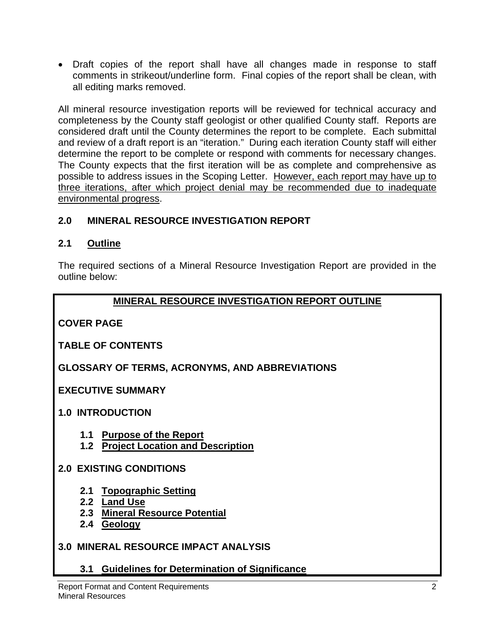• Draft copies of the report shall have all changes made in response to staff comments in strikeout/underline form. Final copies of the report shall be clean, with all editing marks removed.

All mineral resource investigation reports will be reviewed for technical accuracy and completeness by the County staff geologist or other qualified County staff. Reports are considered draft until the County determines the report to be complete. Each submittal and review of a draft report is an "iteration." During each iteration County staff will either determine the report to be complete or respond with comments for necessary changes. The County expects that the first iteration will be as complete and comprehensive as possible to address issues in the Scoping Letter. However, each report may have up to three iterations, after which project denial may be recommended due to inadequate environmental progress.

#### **2.0 MINERAL RESOURCE INVESTIGATION REPORT**

#### **2.1 Outline**

The required sections of a Mineral Resource Investigation Report are provided in the outline below:

#### **MINERAL RESOURCE INVESTIGATION REPORT OUTLINE**

**COVER PAGE** 

#### **TABLE OF CONTENTS**

**GLOSSARY OF TERMS, ACRONYMS, AND ABBREVIATIONS** 

**EXECUTIVE SUMMARY** 

**1.0 INTRODUCTION** 

- **1.1 Purpose of the Report**
- **1.2 Project Location and Description**

#### **2.0 EXISTING CONDITIONS**

- **2.1 Topographic Setting**
- **2.2 Land Use**
- **2.3 Mineral Resource Potential**
- **2.4 Geology**

## **3.0 MINERAL RESOURCE IMPACT ANALYSIS**

**3.1 Guidelines for Determination of Significance**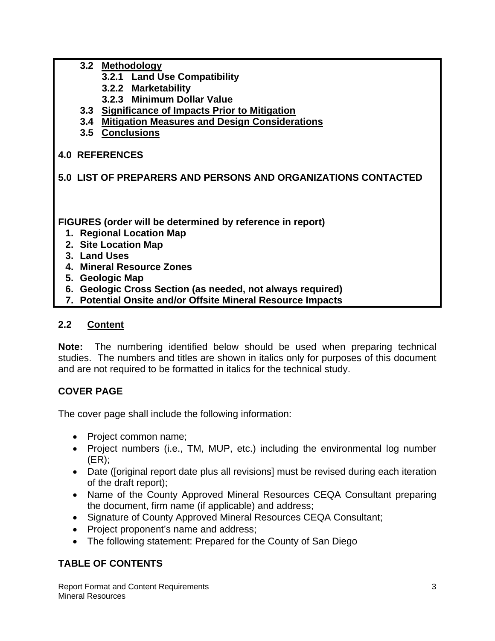- **3.2 Methodology** 
	- **3.2.1 Land Use Compatibility**
	- **3.2.2 Marketability**
	- **3.2.3 Minimum Dollar Value**
- **3.3 Significance of Impacts Prior to Mitigation**
- **3.4 Mitigation Measures and Design Considerations**
- **3.5 Conclusions**

## **4.0 REFERENCES**

## **5.0 LIST OF PREPARERS AND PERSONS AND ORGANIZATIONS CONTACTED**

**FIGURES (order will be determined by reference in report)** 

- **1. Regional Location Map**
- **2. Site Location Map**
- **3. Land Uses**
- **4. Mineral Resource Zones**
- **5. Geologic Map**
- **6. Geologic Cross Section (as needed, not always required)**
- **7. Potential Onsite and/or Offsite Mineral Resource Impacts**

#### **2.2 Content**

**Note:** The numbering identified below should be used when preparing technical studies. The numbers and titles are shown in italics only for purposes of this document and are not required to be formatted in italics for the technical study.

## **COVER PAGE**

The cover page shall include the following information:

- Project common name;
- Project numbers (i.e., TM, MUP, etc.) including the environmental log number (ER);
- Date ([original report date plus all revisions] must be revised during each iteration of the draft report);
- Name of the County Approved Mineral Resources CEQA Consultant preparing the document, firm name (if applicable) and address;
- Signature of County Approved Mineral Resources CEQA Consultant;
- Project proponent's name and address;
- The following statement: Prepared for the County of San Diego

## **TABLE OF CONTENTS**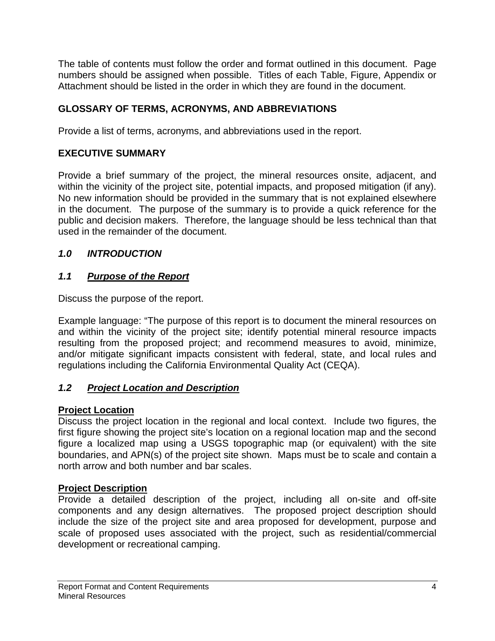The table of contents must follow the order and format outlined in this document. Page numbers should be assigned when possible. Titles of each Table, Figure, Appendix or Attachment should be listed in the order in which they are found in the document.

## **GLOSSARY OF TERMS, ACRONYMS, AND ABBREVIATIONS**

Provide a list of terms, acronyms, and abbreviations used in the report.

## **EXECUTIVE SUMMARY**

Provide a brief summary of the project, the mineral resources onsite, adjacent, and within the vicinity of the project site, potential impacts, and proposed mitigation (if any). No new information should be provided in the summary that is not explained elsewhere in the document. The purpose of the summary is to provide a quick reference for the public and decision makers. Therefore, the language should be less technical than that used in the remainder of the document.

## *1.0 INTRODUCTION*

## *1.1 Purpose of the Report*

Discuss the purpose of the report.

Example language: "The purpose of this report is to document the mineral resources on and within the vicinity of the project site; identify potential mineral resource impacts resulting from the proposed project; and recommend measures to avoid, minimize, and/or mitigate significant impacts consistent with federal, state, and local rules and regulations including the California Environmental Quality Act (CEQA).

## *1.2 Project Location and Description*

## **Project Location**

Discuss the project location in the regional and local context. Include two figures, the first figure showing the project site's location on a regional location map and the second figure a localized map using a USGS topographic map (or equivalent) with the site boundaries, and APN(s) of the project site shown. Maps must be to scale and contain a north arrow and both number and bar scales.

## **Project Description**

Provide a detailed description of the project, including all on-site and off-site components and any design alternatives. The proposed project description should include the size of the project site and area proposed for development, purpose and scale of proposed uses associated with the project, such as residential/commercial development or recreational camping.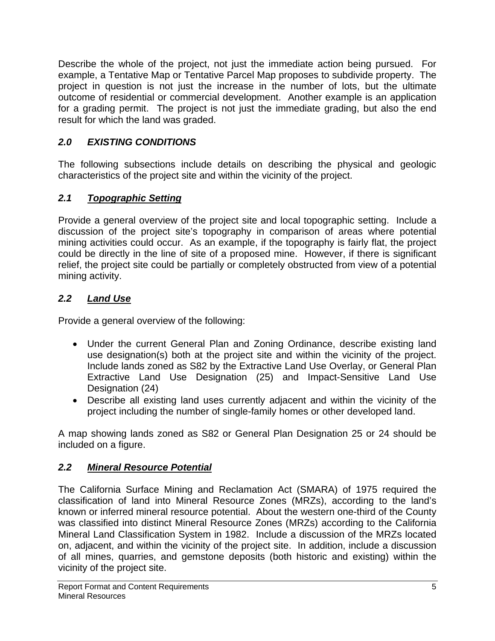Describe the whole of the project, not just the immediate action being pursued. For example, a Tentative Map or Tentative Parcel Map proposes to subdivide property. The project in question is not just the increase in the number of lots, but the ultimate outcome of residential or commercial development. Another example is an application for a grading permit. The project is not just the immediate grading, but also the end result for which the land was graded.

## *2.0 EXISTING CONDITIONS*

The following subsections include details on describing the physical and geologic characteristics of the project site and within the vicinity of the project.

## *2.1 Topographic Setting*

Provide a general overview of the project site and local topographic setting. Include a discussion of the project site's topography in comparison of areas where potential mining activities could occur. As an example, if the topography is fairly flat, the project could be directly in the line of site of a proposed mine. However, if there is significant relief, the project site could be partially or completely obstructed from view of a potential mining activity.

## *2.2 Land Use*

Provide a general overview of the following:

- Under the current General Plan and Zoning Ordinance, describe existing land use designation(s) both at the project site and within the vicinity of the project. Include lands zoned as S82 by the Extractive Land Use Overlay, or General Plan Extractive Land Use Designation (25) and Impact-Sensitive Land Use Designation (24)
- Describe all existing land uses currently adjacent and within the vicinity of the project including the number of single-family homes or other developed land.

A map showing lands zoned as S82 or General Plan Designation 25 or 24 should be included on a figure.

## *2.2 Mineral Resource Potential*

The California Surface Mining and Reclamation Act (SMARA) of 1975 required the classification of land into Mineral Resource Zones (MRZs), according to the land's known or inferred mineral resource potential. About the western one-third of the County was classified into distinct Mineral Resource Zones (MRZs) according to the California Mineral Land Classification System in 1982. Include a discussion of the MRZs located on, adjacent, and within the vicinity of the project site. In addition, include a discussion of all mines, quarries, and gemstone deposits (both historic and existing) within the vicinity of the project site.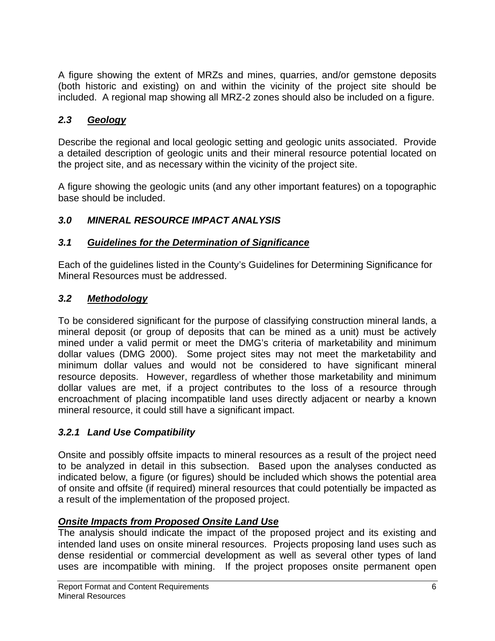A figure showing the extent of MRZs and mines, quarries, and/or gemstone deposits (both historic and existing) on and within the vicinity of the project site should be included. A regional map showing all MRZ-2 zones should also be included on a figure.

#### *2.3 Geology*

Describe the regional and local geologic setting and geologic units associated. Provide a detailed description of geologic units and their mineral resource potential located on the project site, and as necessary within the vicinity of the project site.

A figure showing the geologic units (and any other important features) on a topographic base should be included.

#### *3.0 MINERAL RESOURCE IMPACT ANALYSIS*

#### *3.1 Guidelines for the Determination of Significance*

Each of the guidelines listed in the County's Guidelines for Determining Significance for Mineral Resources must be addressed.

#### *3.2 Methodology*

To be considered significant for the purpose of classifying construction mineral lands, a mineral deposit (or group of deposits that can be mined as a unit) must be actively mined under a valid permit or meet the DMG's criteria of marketability and minimum dollar values (DMG 2000). Some project sites may not meet the marketability and minimum dollar values and would not be considered to have significant mineral resource deposits. However, regardless of whether those marketability and minimum dollar values are met, if a project contributes to the loss of a resource through encroachment of placing incompatible land uses directly adjacent or nearby a known mineral resource, it could still have a significant impact.

#### *3.2.1 Land Use Compatibility*

Onsite and possibly offsite impacts to mineral resources as a result of the project need to be analyzed in detail in this subsection. Based upon the analyses conducted as indicated below, a figure (or figures) should be included which shows the potential area of onsite and offsite (if required) mineral resources that could potentially be impacted as a result of the implementation of the proposed project.

#### *Onsite Impacts from Proposed Onsite Land Use*

The analysis should indicate the impact of the proposed project and its existing and intended land uses on onsite mineral resources. Projects proposing land uses such as dense residential or commercial development as well as several other types of land uses are incompatible with mining. If the project proposes onsite permanent open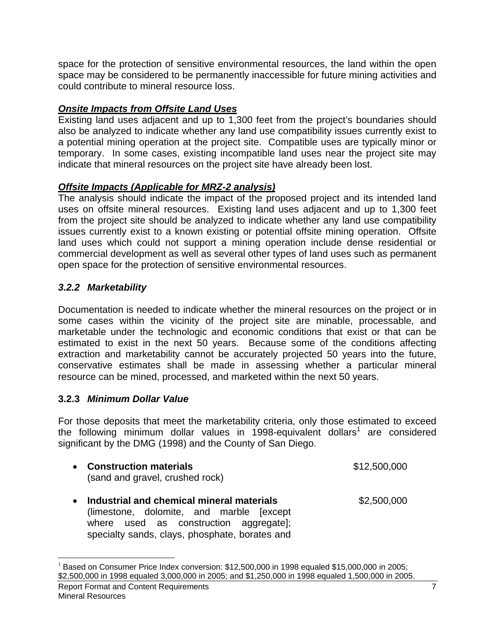space for the protection of sensitive environmental resources, the land within the open space may be considered to be permanently inaccessible for future mining activities and could contribute to mineral resource loss.

#### *Onsite Impacts from Offsite Land Uses*

Existing land uses adjacent and up to 1,300 feet from the project's boundaries should also be analyzed to indicate whether any land use compatibility issues currently exist to a potential mining operation at the project site. Compatible uses are typically minor or temporary. In some cases, existing incompatible land uses near the project site may indicate that mineral resources on the project site have already been lost.

#### *Offsite Impacts (Applicable for MRZ-2 analysis)*

The analysis should indicate the impact of the proposed project and its intended land uses on offsite mineral resources. Existing land uses adjacent and up to 1,300 feet from the project site should be analyzed to indicate whether any land use compatibility issues currently exist to a known existing or potential offsite mining operation. Offsite land uses which could not support a mining operation include dense residential or commercial development as well as several other types of land uses such as permanent open space for the protection of sensitive environmental resources.

#### *3.2.2 Marketability*

Documentation is needed to indicate whether the mineral resources on the project or in some cases within the vicinity of the project site are minable, processable, and marketable under the technologic and economic conditions that exist or that can be estimated to exist in the next 50 years. Because some of the conditions affecting extraction and marketability cannot be accurately projected 50 years into the future, conservative estimates shall be made in assessing whether a particular mineral resource can be mined, processed, and marketed within the next 50 years.

#### **3.2.3** *Minimum Dollar Value*

For those deposits that meet the marketability criteria, only those estimated to exceed the following minimum dollar values in 1998-equivalent dollars<sup>1</sup> are considered significant by the DMG (1998) and the County of San Diego.

|           | • Construction materials<br>(sand and gravel, crushed rock)                                                                      | \$12,500,000 |
|-----------|----------------------------------------------------------------------------------------------------------------------------------|--------------|
| $\bullet$ | Industrial and chemical mineral materials<br>(limestone, dolomite, and marble [except]<br>where used as construction aggregate]; | \$2,500,000  |

specialty sands, clays, phosphate, borates and

 $\overline{a}$ 

Report Format and Content Requirements 7  $1$  Based on Consumer Price Index conversion: \$12,500,000 in 1998 equaled \$15,000,000 in 2005; \$2,500,000 in 1998 equaled 3,000,000 in 2005; and \$1,250,000 in 1998 equaled 1,500,000 in 2005.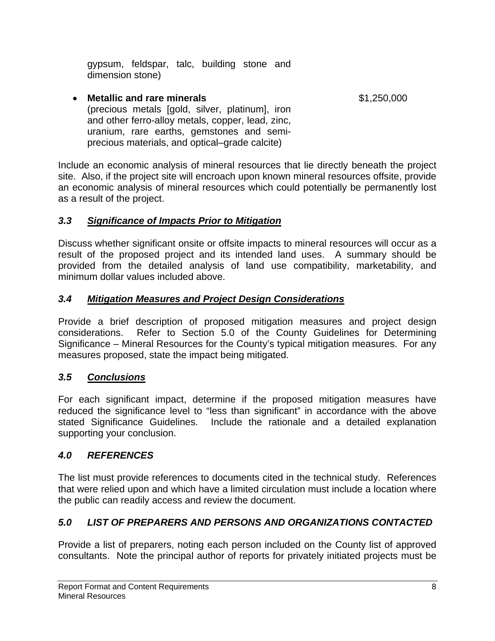gypsum, feldspar, talc, building stone and dimension stone)

#### • **Metallic and rare minerals by the set of the Superior S1,250,000** (precious metals [gold, silver, platinum], iron and other ferro-alloy metals, copper, lead, zinc, uranium, rare earths, gemstones and semiprecious materials, and optical–grade calcite)

Include an economic analysis of mineral resources that lie directly beneath the project site. Also, if the project site will encroach upon known mineral resources offsite, provide an economic analysis of mineral resources which could potentially be permanently lost as a result of the project.

#### *3.3 Significance of Impacts Prior to Mitigation*

Discuss whether significant onsite or offsite impacts to mineral resources will occur as a result of the proposed project and its intended land uses. A summary should be provided from the detailed analysis of land use compatibility, marketability, and minimum dollar values included above.

#### *3.4 Mitigation Measures and Project Design Considerations*

Provide a brief description of proposed mitigation measures and project design considerations. Refer to Section 5.0 of the County Guidelines for Determining Significance – Mineral Resources for the County's typical mitigation measures. For any measures proposed, state the impact being mitigated.

## *3.5 Conclusions*

For each significant impact, determine if the proposed mitigation measures have reduced the significance level to "less than significant" in accordance with the above stated Significance Guidelines. Include the rationale and a detailed explanation supporting your conclusion.

#### *4.0 REFERENCES*

The list must provide references to documents cited in the technical study. References that were relied upon and which have a limited circulation must include a location where the public can readily access and review the document.

## *5.0 LIST OF PREPARERS AND PERSONS AND ORGANIZATIONS CONTACTED*

Provide a list of preparers, noting each person included on the County list of approved consultants. Note the principal author of reports for privately initiated projects must be